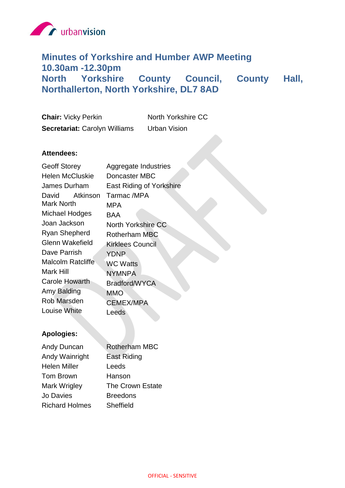

# **Minutes of Yorkshire and Humber AWP Meeting 10.30am -12.30pm North Yorkshire County Council, County Hall, Northallerton, North Yorkshire, DL7 8AD**

| <b>Chair: Vicky Perkin</b>           | North Yorkshire CC  |
|--------------------------------------|---------------------|
| <b>Secretariat: Carolyn Williams</b> | <b>Urban Vision</b> |

## **Attendees:**

| <b>Geoff Storey</b>    | Aggregate Industries      |
|------------------------|---------------------------|
| <b>Helen McCluskie</b> | Doncaster MBC             |
| James Durham           | East Riding of Yorkshire  |
| Atkinson<br>David      | Tarmac /MPA               |
| <b>Mark North</b>      | MPA                       |
| Michael Hodges         | BAA                       |
| Joan Jackson           | <b>North Yorkshire CC</b> |
| <b>Ryan Shepherd</b>   | <b>Rotherham MBC</b>      |
| <b>Glenn Wakefield</b> | Kirklees Council          |
| Dave Parrish           | YDNP                      |
| Malcolm Ratcliffe      | <b>WC Watts</b>           |
| Mark Hill              | <b>NYMNPA</b>             |
| <b>Carole Howarth</b>  | Bradford/WYCA             |
| Amy Balding            | <b>MMO</b>                |
| <b>Rob Marsden</b>     | <b>CEMEX/MPA</b>          |
| Louise White           | Leeds                     |

## **Apologies:**

| Andy Duncan           | <b>Rotherham MBC</b> |
|-----------------------|----------------------|
| Andy Wainright        | East Riding          |
| <b>Helen Miller</b>   | Leeds                |
| <b>Tom Brown</b>      | Hanson               |
| Mark Wrigley          | The Crown Estate     |
| <b>Jo Davies</b>      | <b>Breedons</b>      |
| <b>Richard Holmes</b> | Sheffield            |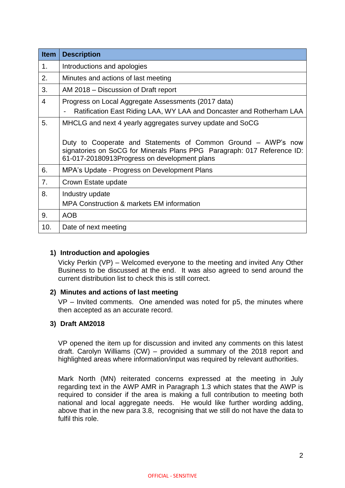| <b>Item</b> | <b>Description</b>                                                                                                                                                                                                                                    |
|-------------|-------------------------------------------------------------------------------------------------------------------------------------------------------------------------------------------------------------------------------------------------------|
| 1.          | Introductions and apologies                                                                                                                                                                                                                           |
| 2.          | Minutes and actions of last meeting                                                                                                                                                                                                                   |
| 3.          | AM 2018 – Discussion of Draft report                                                                                                                                                                                                                  |
| 4           | Progress on Local Aggregate Assessments (2017 data)<br>Ratification East Riding LAA, WY LAA and Doncaster and Rotherham LAA                                                                                                                           |
| 5.          | MHCLG and next 4 yearly aggregates survey update and SoCG<br>Duty to Cooperate and Statements of Common Ground – AWP's now<br>signatories on SoCG for Minerals Plans PPG Paragraph: 017 Reference ID:<br>61-017-20180913Progress on development plans |
| 6.          | MPA's Update - Progress on Development Plans                                                                                                                                                                                                          |
| 7.          | Crown Estate update                                                                                                                                                                                                                                   |
| 8.          | Industry update<br><b>MPA Construction &amp; markets EM information</b>                                                                                                                                                                               |
| 9.          | <b>AOB</b>                                                                                                                                                                                                                                            |
| 10.         | Date of next meeting                                                                                                                                                                                                                                  |

## **1) Introduction and apologies**

Vicky Perkin (VP) – Welcomed everyone to the meeting and invited Any Other Business to be discussed at the end. It was also agreed to send around the current distribution list to check this is still correct.

## **2) Minutes and actions of last meeting**

VP – Invited comments. One amended was noted for p5, the minutes where then accepted as an accurate record.

## **3) Draft AM2018**

VP opened the item up for discussion and invited any comments on this latest draft. Carolyn Williams (CW) – provided a summary of the 2018 report and highlighted areas where information/input was required by relevant authorities.

Mark North (MN) reiterated concerns expressed at the meeting in July regarding text in the AWP AMR in Paragraph 1.3 which states that the AWP is required to consider if the area is making a full contribution to meeting both national and local aggregate needs. He would like further wording adding, above that in the new para 3.8, recognising that we still do not have the data to fulfil this role.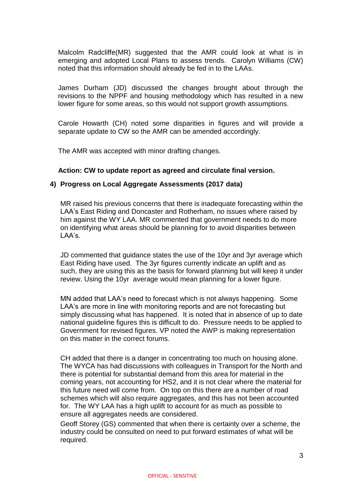Malcolm Radcliffe(MR) suggested that the AMR could look at what is in emerging and adopted Local Plans to assess trends. Carolyn Williams (CW) noted that this information should already be fed in to the LAAs.

James Durham (JD) discussed the changes brought about through the revisions to the NPPF and housing methodology which has resulted in a new lower figure for some areas, so this would not support growth assumptions.

Carole Howarth (CH) noted some disparities in figures and will provide a separate update to CW so the AMR can be amended accordingly.

The AMR was accepted with minor drafting changes.

#### **Action: CW to update report as agreed and circulate final version.**

#### **4) Progress on Local Aggregate Assessments (2017 data)**

MR raised his previous concerns that there is inadequate forecasting within the LAA's East Riding and Doncaster and Rotherham, no issues where raised by him against the WY LAA. MR commented that government needs to do more on identifying what areas should be planning for to avoid disparities between LAA's.

JD commented that guidance states the use of the 10yr and 3yr average which East Riding have used. The 3yr figures currently indicate an uplift and as such, they are using this as the basis for forward planning but will keep it under review. Using the 10yr average would mean planning for a lower figure.

MN added that LAA's need to forecast which is not always happening. Some LAA's are more in line with monitoring reports and are not forecasting but simply discussing what has happened. It is noted that in absence of up to date national guideline figures this is difficult to do. Pressure needs to be applied to Government for revised figures. VP noted the AWP is making representation on this matter in the correct forums.

CH added that there is a danger in concentrating too much on housing alone. The WYCA has had discussions with colleagues in Transport for the North and there is potential for substantial demand from this area for material in the coming years, not accounting for HS2, and it is not clear where the material for this future need will come from. On top on this there are a number of road schemes which will also require aggregates, and this has not been accounted for. The WY LAA has a high uplift to account for as much as possible to ensure all aggregates needs are considered.

Geoff Storey (GS) commented that when there is certainty over a scheme, the industry could be consulted on need to put forward estimates of what will be required.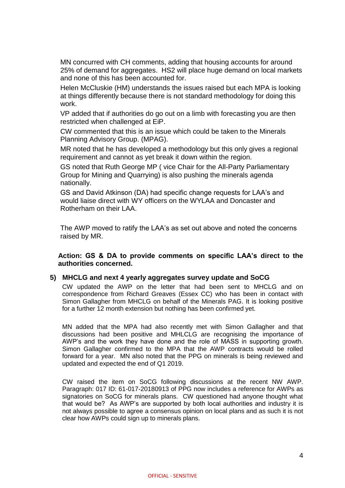MN concurred with CH comments, adding that housing accounts for around 25% of demand for aggregates. HS2 will place huge demand on local markets and none of this has been accounted for.

Helen McCluskie (HM) understands the issues raised but each MPA is looking at things differently because there is not standard methodology for doing this work.

VP added that if authorities do go out on a limb with forecasting you are then restricted when challenged at EiP.

CW commented that this is an issue which could be taken to the Minerals Planning Advisory Group. (MPAG).

MR noted that he has developed a methodology but this only gives a regional requirement and cannot as yet break it down within the region.

GS noted that Ruth George MP ( vice Chair for the All-Party Parliamentary Group for Mining and Quarrying) is also pushing the minerals agenda nationally.

GS and David Atkinson (DA) had specific change requests for LAA's and would liaise direct with WY officers on the WYLAA and Doncaster and Rotherham on their LAA.

The AWP moved to ratify the LAA's as set out above and noted the concerns raised by MR.

#### **Action: GS & DA to provide comments on specific LAA's direct to the authorities concerned.**

#### **5) MHCLG and next 4 yearly aggregates survey update and SoCG**

CW updated the AWP on the letter that had been sent to MHCLG and on correspondence from Richard Greaves (Essex CC) who has been in contact with Simon Gallagher from MHCLG on behalf of the Minerals PAG. It is looking positive for a further 12 month extension but nothing has been confirmed yet.

MN added that the MPA had also recently met with Simon Gallagher and that discussions had been positive and MHLCLG are recognising the importance of AWP's and the work they have done and the role of MASS in supporting growth. Simon Gallagher confirmed to the MPA that the AWP contracts would be rolled forward for a year. MN also noted that the PPG on minerals is being reviewed and updated and expected the end of Q1 2019.

CW raised the item on SoCG following discussions at the recent NW AWP. Paragraph: 017 ID: 61-017-20180913 of PPG now includes a reference for AWPs as signatories on SoCG for minerals plans. CW questioned had anyone thought what that would be? As AWP's are supported by both local authorities and industry it is not always possible to agree a consensus opinion on local plans and as such it is not clear how AWPs could sign up to minerals plans.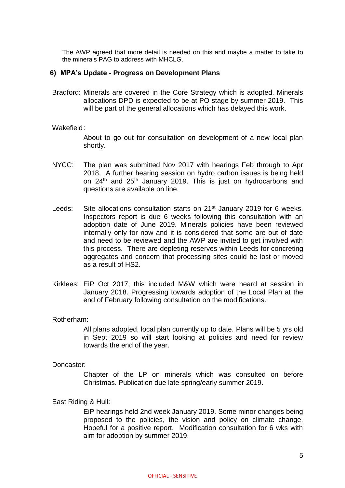The AWP agreed that more detail is needed on this and maybe a matter to take to the minerals PAG to address with MHCLG.

#### **6) MPA's Update - Progress on Development Plans**

Bradford: Minerals are covered in the Core Strategy which is adopted. Minerals allocations DPD is expected to be at PO stage by summer 2019. This will be part of the general allocations which has delayed this work.

#### Wakefield:

About to go out for consultation on development of a new local plan shortly.

- NYCC: The plan was submitted Nov 2017 with hearings Feb through to Apr 2018. A further hearing session on hydro carbon issues is being held on 24<sup>th</sup> and 25<sup>th</sup> January 2019. This is just on hydrocarbons and questions are available on line.
- Leeds: Site allocations consultation starts on 21<sup>st</sup> January 2019 for 6 weeks. Inspectors report is due 6 weeks following this consultation with an adoption date of June 2019. Minerals policies have been reviewed internally only for now and it is considered that some are out of date and need to be reviewed and the AWP are invited to get involved with this process. There are depleting reserves within Leeds for concreting aggregates and concern that processing sites could be lost or moved as a result of HS2.
- Kirklees: EiP Oct 2017, this included M&W which were heard at session in January 2018. Progressing towards adoption of the Local Plan at the end of February following consultation on the modifications.

#### Rotherham:

All plans adopted, local plan currently up to date. Plans will be 5 yrs old in Sept 2019 so will start looking at policies and need for review towards the end of the year.

#### Doncaster:

Chapter of the LP on minerals which was consulted on before Christmas. Publication due late spring/early summer 2019.

#### East Riding & Hull:

EiP hearings held 2nd week January 2019. Some minor changes being proposed to the policies, the vision and policy on climate change. Hopeful for a positive report. Modification consultation for 6 wks with aim for adoption by summer 2019.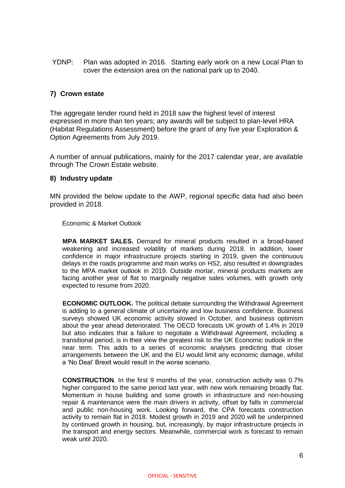YDNP: Plan was adopted in 2016. Starting early work on a new Local Plan to cover the extension area on the national park up to 2040.

## **7) Crown estate**

The aggregate tender round held in 2018 saw the highest level of interest expressed in more than ten years; any awards will be subject to plan-level HRA (Habitat Regulations Assessment) before the grant of any five year Exploration & Option Agreements from July 2019.

A number of annual publications, mainly for the 2017 calendar year, are available through The Crown Estate website.

#### **8) Industry update**

MN provided the below update to the AWP, regional specific data had also been provided in 2018.

Economic & Market Outlook

**MPA MARKET SALES.** Demand for mineral products resulted in a broad-based weakening and increased volatility of markets during 2018. In addition, lower confidence in major infrastructure projects starting in 2019, given the continuous delays in the roads programme and main works on HS2, also resulted in downgrades to the MPA market outlook in 2019. Outside mortar, mineral products markets are facing another year of flat to marginally negative sales volumes, with growth only expected to resume from 2020.

**ECONOMIC OUTLOOK.** The political debate surrounding the Withdrawal Agreement is adding to a general climate of uncertainty and low business confidence. Business surveys showed UK economic activity slowed in October, and business optimism about the year ahead deteriorated. The OECD forecasts UK growth of 1.4% in 2019 but also indicates that a failure to negotiate a Withdrawal Agreement, including a transitional period, is in their view the greatest risk to the UK Economic outlook in the near term. This adds to a series of economic analyses predicting that closer arrangements between the UK and the EU would limit any economic damage, whilst a 'No Deal' Brexit would result in the worse scenario.

**CONSTRUCTION**. In the first 9 months of the year, construction activity was 0.7% higher compared to the same period last year, with new work remaining broadly flat. Momentum in house building and some growth in infrastructure and non-housing repair & maintenance were the main drivers in activity, offset by falls in commercial and public non-housing work. Looking forward, the CPA forecasts construction activity to remain flat in 2018. Modest growth in 2019 and 2020 will be underpinned by continued growth in housing, but, increasingly, by major infrastructure projects in the transport and energy sectors. Meanwhile, commercial work is forecast to remain weak until 2020.